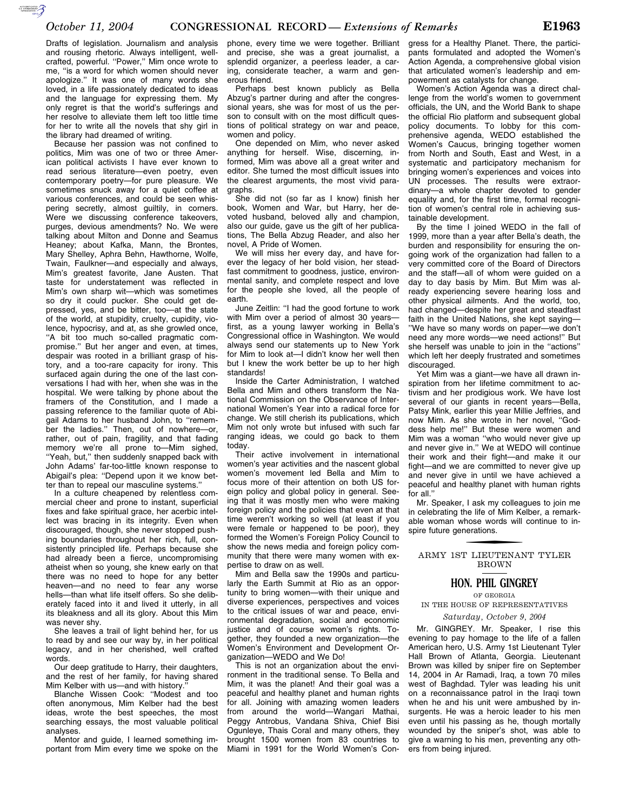Drafts of legislation. Journalism and analysis and rousing rhetoric. Always intelligent, wellcrafted, powerful. "Power," Mim once wrote to me, ''is a word for which women should never apologize.'' It was one of many words she loved, in a life passionately dedicated to ideas and the language for expressing them. My only regret is that the world's sufferings and her resolve to alleviate them left too little time for her to write all the novels that shy girl in the library had dreamed of writing.

Because her passion was not confined to politics, Mim was one of two or three American political activists I have ever known to read serious literature—even poetry, even contemporary poetry—for pure pleasure. We sometimes snuck away for a quiet coffee at various conferences, and could be seen whispering secretly, almost guiltily, in corners. Were we discussing conference takeovers, purges, devious amendments? No. We were talking about Milton and Donne and Seamus Heaney; about Kafka, Mann, the Brontes, Mary Shelley, Aphra Behn, Hawthorne, Wolfe, Twain, Faulkner—and especially and always, Mim's greatest favorite, Jane Austen. That taste for understatement was reflected in Mim's own sharp wit—which was sometimes so dry it could pucker. She could get depressed, yes, and be bitter, too—at the state of the world, at stupidity, cruelty, cupidity, violence, hypocrisy, and at, as she growled once, ''A bit too much so-called pragmatic compromise.'' But her anger and even, at times, despair was rooted in a brilliant grasp of history, and a too-rare capacity for irony. This surfaced again during the one of the last conversations I had with her, when she was in the hospital. We were talking by phone about the framers of the Constitution, and I made a passing reference to the familiar quote of Abigail Adams to her husband John, to ''remember the ladies.'' Then, out of nowhere—or, rather, out of pain, fragility, and that fading memory we're all prone to—Mim sighed, "Yeah, but," then suddenly snapped back with John Adams' far-too-little known response to Abigail's plea: ''Depend upon it we know better than to repeal our masculine systems.''

In a culture cheapened by relentless commercial cheer and prone to instant, superficial fixes and fake spiritual grace, her acerbic intellect was bracing in its integrity. Even when discouraged, though, she never stopped pushing boundaries throughout her rich, full, consistently principled life. Perhaps because she had already been a fierce, uncompromising atheist when so young, she knew early on that there was no need to hope for any better heaven—and no need to fear any worse hells—than what life itself offers. So she deliberately faced into it and lived it utterly, in all its bleakness and all its glory. About this Mim was never shy.

She leaves a trail of light behind her, for us to read by and see our way by, in her political legacy, and in her cherished, well crafted words.

Our deep gratitude to Harry, their daughters, and the rest of her family, for having shared Mim Kelber with us-and with history.

Blanche Wissen Cook: ''Modest and too often anonymous, Mim Kelber had the best ideas, wrote the best speeches, the most searching essays, the most valuable political analyses.

Mentor and guide, I learned something important from Mim every time we spoke on the phone, every time we were together. Brilliant and precise, she was a great journalist, a splendid organizer, a peerless leader, a caring, considerate teacher, a warm and generous friend.

Perhaps best known publicly as Bella Abzug's partner during and after the congressional years, she was for most of us the person to consult with on the most difficult questions of political strategy on war and peace, women and policy.

One depended on Mim, who never asked anything for herself. Wise, discerning, informed, Mim was above all a great writer and editor. She turned the most difficult issues into the clearest arguments, the most vivid paragraphs.

She did not (so far as I know) finish her book, Women and War, but Harry, her devoted husband, beloved ally and champion, also our guide, gave us the gift of her publications, The Bella Abzug Reader, and also her novel, A Pride of Women.

We will miss her every day, and have forever the legacy of her bold vision, her steadfast commitment to goodness, justice, environmental sanity, and complete respect and love for the people she loved, all the people of earth.

June Zeitlin: ''I had the good fortune to work with Mim over a period of almost 30 years first, as a young lawyer working in Bella's Congressional office in Washington. We would always send our statements up to New York for Mim to look at—I didn't know her well then but I knew the work better be up to her high standards!

Inside the Carter Administration, I watched Bella and Mim and others transform the National Commission on the Observance of International Women's Year into a radical force for change. We still cherish its publications, which Mim not only wrote but infused with such far ranging ideas, we could go back to them today.

Their active involvement in international women's year activities and the nascent global women's movement led Bella and Mim to focus more of their attention on both US foreign policy and global policy in general. Seeing that it was mostly men who were making foreign policy and the policies that even at that time weren't working so well (at least if you were female or happened to be poor), they formed the Women's Foreign Policy Council to show the news media and foreign policy community that there were many women with expertise to draw on as well.

Mim and Bella saw the 1990s and particularly the Earth Summit at Rio as an opportunity to bring women—with their unique and diverse experiences, perspectives and voices to the critical issues of war and peace, environmental degradation, social and economic justice and of course women's rights. Together, they founded a new organization—the Women's Environment and Development Organization—WEDO and We Do!

This is not an organization about the environment in the traditional sense. To Bella and Mim, it was the planet! And their goal was a peaceful and healthy planet and human rights for all. Joining with amazing women leaders from around the world—Wangari Mathai, Peggy Antrobus, Vandana Shiva, Chief Bisi Ogunleye, Thais Coral and many others, they brought 1500 women from 83 countries to Miami in 1991 for the World Women's Con-

gress for a Healthy Planet. There, the participants formulated and adopted the Women's Action Agenda, a comprehensive global vision that articulated women's leadership and empowerment as catalysts for change.

Women's Action Agenda was a direct challenge from the world's women to government officials, the UN, and the World Bank to shape the official Rio platform and subsequent global policy documents. To lobby for this comprehensive agenda, WEDO established the Women's Caucus, bringing together women from North and South, East and West, in a systematic and participatory mechanism for bringing women's experiences and voices into UN processes. The results were extraordinary—a whole chapter devoted to gender equality and, for the first time, formal recognition of women's central role in achieving sustainable development.

By the time I joined WEDO in the fall of 1999, more than a year after Bella's death, the burden and responsibility for ensuring the ongoing work of the organization had fallen to a very committed core of the Board of Directors and the staff—all of whom were guided on a day to day basis by Mim. But Mim was already experiencing severe hearing loss and other physical ailments. And the world, too, had changed—despite her great and steadfast faith in the United Nations, she kept saying— ''We have so many words on paper—we don't need any more words—we need actions!'' But she herself was unable to join in the ''actions'' which left her deeply frustrated and sometimes discouraged.

Yet Mim was a giant—we have all drawn inspiration from her lifetime commitment to activism and her prodigious work. We have lost several of our giants in recent years—Bella, Patsy Mink, earlier this year Millie Jeffries, and now Mim. As she wrote in her novel, ''Goddess help me!'' But these were women and Mim was a woman "who would never give up and never give in.'' We at WEDO will continue their work and their fight—and make it our fight—and we are committed to never give up and never give in until we have achieved a peaceful and healthy planet with human rights for all.''

Mr. Speaker, I ask my colleagues to join me in celebrating the life of Mim Kelber, a remarkable woman whose words will continue to inspire future generations.

f ARMY 1ST LIEUTENANT TYLER BROWN

## **HON. PHIL GINGREY**

OF GEORGIA

IN THE HOUSE OF REPRESENTATIVES *Saturday, October 9, 2004* 

Mr. GINGREY. Mr. Speaker, I rise this evening to pay homage to the life of a fallen American hero, U.S. Army 1st Lieutenant Tyler Hall Brown of Atlanta, Georgia. Lieutenant Brown was killed by sniper fire on September 14, 2004 in Ar Ramadi, Iraq, a town 70 miles west of Baghdad. Tyler was leading his unit on a reconnaissance patrol in the Iraqi town when he and his unit were ambushed by insurgents. He was a heroic leader to his men even until his passing as he, though mortally wounded by the sniper's shot, was able to give a warning to his men, preventing any others from being injured.